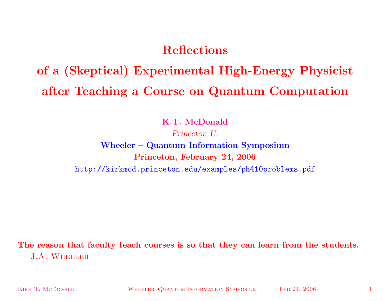# **Reflections**

# **of <sup>a</sup> (Skeptical) Experimental High-Energy Physicist after Teaching <sup>a</sup> Course on Quantum Computation**

**K.T. McDonald**

*Princeton U.*

# **Wheeler – Quantum Information Symposium Princeton, February 24, 2006** http://kirkmcd.princeton.edu/examples/ph410problems.pdf

The reason that faculty teach courses is so that they can learn from the students. **—** J.A. Wheeler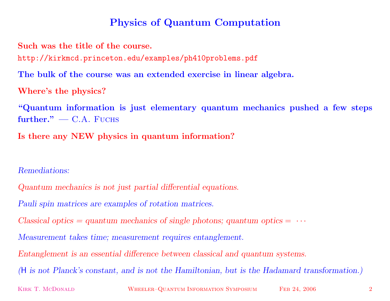## **Physics of Quantum Computation**

**Such was the title of the course.**

http://kirkmcd.princeton.edu/examples/ph410problems.pdf

The bulk of the course was an extended exercise in linear algebra.

**Where's the physics?**

**"Quantum information is just elementary quantum mechanics pushed <sup>a</sup> few steps further." —** C.A. Fuchs

**Is there any NEW physics in quantum information?**

*Remediations:*

*Quantum mechanics is not just partial differential equations.*

*Pauli spin matrices are examples of rotation matrices.*

 $Classical optics = quantum mechanics of single photons; quantum optics =  $\cdots$$ 

*Measurement takes time; measurement requires entanglement.*

*Entanglement is an essential difference between classical and quantum systems.*

(H is not Planck's constant, and is not the Hamiltonian, but is the Hadamard transformation.)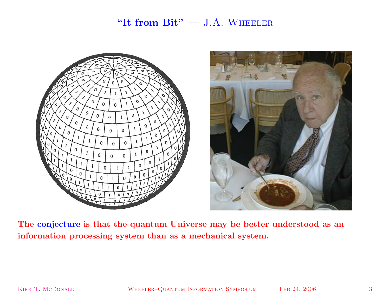#### **"It from Bit" —** J.A. Wheeler





The conjecture is that the quantum Universe may be better understood as an **information processing system than as <sup>a</sup> mechanical system.**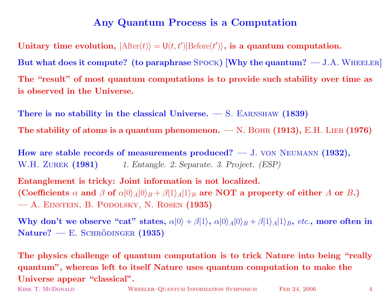### **Any Quantum Process is <sup>a</sup> Computation**

 $\textbf{Unitary time evolution}, \ |\text{After}(t)\rangle = \text{U}(t, t')|\text{Before}(t')\rangle, \text{ is a quantum computation.}$ But what does it compute? (to paraphrase  $SPOCK$ ) [Why the quantum?  $-$  J.A. WHEELER] The "result" of most quantum computations is to provide such stability over time as **is observed in the Universe.**

**There is no stability in the classical Universe. —** S. Earnshaw **(1839) The** stability of atoms is a quantum phenomenon.  $- N$ . BOHR  $(1913)$ , E.H. LIEB  $(1976)$ 

**How are stable records of measurements produced? —** J. von Neumann **(1932),** W.H. Zurek **(1981)** *1. Entangle. 2. Separate. 3. Project. (ESP)*

**Entanglement is tricky: Joint information is not localized.**  $(\textbf{Coefficients}\,\, \alpha\,\, \textbf{and}\,\, \beta\,\, \textbf{of}\,\, \alpha|0\rangle_A |0\rangle_B + \beta|1\rangle_A |1\rangle_B$  are  $\textbf{NOT}\,\, \textbf{a}\,\, \textbf{property}\,\, \textbf{of}\,\, \textbf{either}\,\, A\,\, \textbf{or}\,\, B\, .)$ **—** A. Einstein, B. Podolsky, N. Rosen **(1935)**

Why don't we observe "cat" states,  $\alpha|0\rangle + \beta|1\rangle$ ,  $\alpha|0\rangle_A|0\rangle_B + \beta|1\rangle_A|1\rangle_B$ , etc., more often in  $Nature?$  **—** E. SCHRÖDINGER (1935)

The physics challenge of quantum computation is to trick Nature into being "really" quantum", whereas left to itself Nature uses quantum computation to make the **Universe appear "classical".**